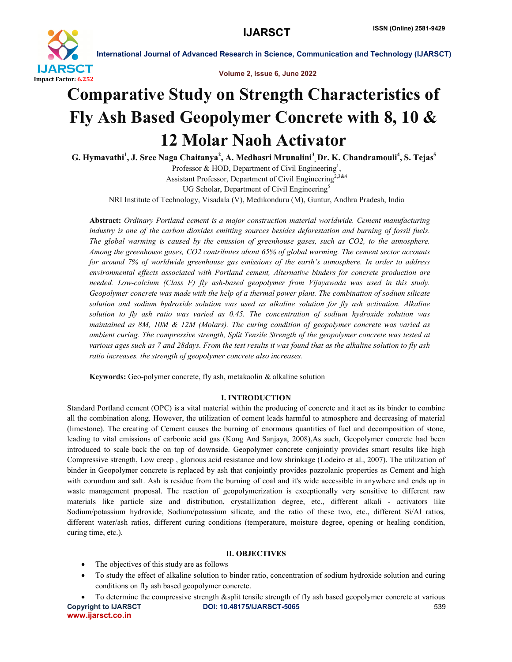

International Journal of Advanced Research in Science, Communication and Technology (IJARSCT)

Volume 2, Issue 6, June 2022

# Comparative Study on Strength Characteristics of Fly Ash Based Geopolymer Concrete with 8, 10 & 12 Molar Naoh Activator

G. Hymavathi<sup>1</sup>, J. Sree Naga Chaitanya<sup>2</sup>, A. Medhasri Mrunalini<sup>3</sup>, Dr. K. Chandramouli<sup>4</sup>, S. Tejas<sup>5</sup> Professor & HOD, Department of Civil Engineering<sup>1</sup>,

Assistant Professor, Department of Civil Engineering<sup>2,3&4</sup> UG Scholar, Department of Civil Engineering<sup>5</sup> NRI Institute of Technology, Visadala (V), Medikonduru (M), Guntur, Andhra Pradesh, India

Abstract: *Ordinary Portland cement is a major construction material worldwide. Cement manufacturing industry is one of the carbon dioxides emitting sources besides deforestation and burning of fossil fuels. The global warming is caused by the emission of greenhouse gases, such as CO2, to the atmosphere. Among the greenhouse gases, CO2 contributes about 65% of global warming. The cement sector accounts for around 7% of worldwide greenhouse gas emissions of the earth's atmosphere. In order to address environmental effects associated with Portland cement, Alternative binders for concrete production are needed. Low-calcium (Class F) fly ash-based geopolymer from Vijayawada was used in this study. Geopolymer concrete was made with the help of a thermal power plant. The combination of sodium silicate solution and sodium hydroxide solution was used as alkaline solution for fly ash activation. Alkaline solution to fly ash ratio was varied as 0.45. The concentration of sodium hydroxide solution was maintained as 8M, 10M & 12M (Molars). The curing condition of geopolymer concrete was varied as ambient curing. The compressive strength, Split Tensile Strength of the geopolymer concrete was tested at various ages such as 7 and 28days. From the test results it was found that as the alkaline solution to fly ash ratio increases, the strength of geopolymer concrete also increases.*

Keywords: Geo-polymer concrete, fly ash, metakaolin & alkaline solution

# I. INTRODUCTION

Standard Portland cement (OPC) is a vital material within the producing of concrete and it act as its binder to combine all the combination along. However, the utilization of cement leads harmful to atmosphere and decreasing of material (limestone). The creating of Cement causes the burning of enormous quantities of fuel and decomposition of stone, leading to vital emissions of carbonic acid gas (Kong And Sanjaya, 2008),As such, Geopolymer concrete had been introduced to scale back the on top of downside. Geopolymer concrete conjointly provides smart results like high Compressive strength, Low creep , glorious acid resistance and low shrinkage (Lodeiro et al., 2007). The utilization of binder in Geopolymer concrete is replaced by ash that conjointly provides pozzolanic properties as Cement and high with corundum and salt. Ash is residue from the burning of coal and it's wide accessible in anywhere and ends up in waste management proposal. The reaction of geopolymerization is exceptionally very sensitive to different raw materials like particle size and distribution, crystallization degree, etc., different alkali - activators like Sodium/potassium hydroxide, Sodium/potassium silicate, and the ratio of these two, etc., different Si/Al ratios, different water/ash ratios, different curing conditions (temperature, moisture degree, opening or healing condition, curing time, etc.).

# II. OBJECTIVES

- The objectives of this study are as follows
- To study the effect of alkaline solution to binder ratio, concentration of sodium hydroxide solution and curing conditions on fly ash based geopolymer concrete.

Copyright to IJARSCT DOI: 10.48175/IJARSCT-5065 **539** www.ijarsct.co.in To determine the compressive strength &split tensile strength of fly ash based geopolymer concrete at various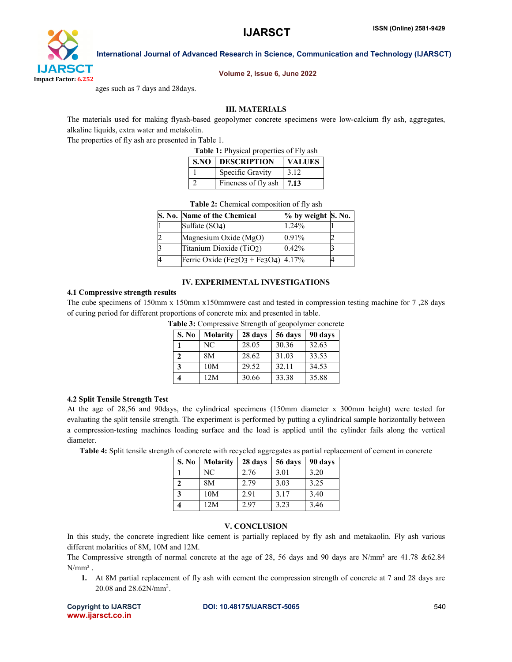International Journal of Advanced Research in Science, Communication and Technology (IJARSCT)



## Volume 2, Issue 6, June 2022

ages such as 7 days and 28days.

## III. MATERIALS

The materials used for making flyash-based geopolymer concrete specimens were low-calcium fly ash, aggregates, alkaline liquids, extra water and metakolin.

The properties of fly ash are presented in Table 1.

Table 1: Physical properties of Fly ash

| <b>S.NO   DESCRIPTION</b> | <b>VALUES</b> |
|---------------------------|---------------|
| Specific Gravity          | 3.12          |
| Fineness of fly ash       | 17.13         |

| <b>Table 2:</b> Chemical composition of fly ash |                                       |                              |  |  |
|-------------------------------------------------|---------------------------------------|------------------------------|--|--|
|                                                 | S. No. Name of the Chemical           | $%$ by weight $\vert$ S. No. |  |  |
|                                                 | Sulfate (SO4)                         | 1.24%                        |  |  |
| 2                                               | Magnesium Oxide (MgO)                 | 0.91%                        |  |  |
| 3                                               | Titanium Dioxide (TiO2)               | 0.42%                        |  |  |
| 4                                               | Ferric Oxide (Fe2O3 + Fe3O4) $4.17\%$ |                              |  |  |

# IV. EXPERIMENTAL INVESTIGATIONS

#### 4.1 Compressive strength results

The cube specimens of 150mm x 150mm x150mmwere cast and tested in compression testing machine for 7 ,28 days of curing period for different proportions of concrete mix and presented in table.

| S. No        | <b>Molarity</b> | 28 days | 56 days | 90 days |
|--------------|-----------------|---------|---------|---------|
|              | NC.             | 28.05   | 30.36   | 32.63   |
| $\mathbf{2}$ | 8M              | 28.62   | 31.03   | 33.53   |
| 3            | 10M             | 29.52   | 32.11   | 34.53   |
|              | 12M             | 30.66   | 33.38   | 35.88   |

Table 3: Compressive Strength of geopolymer concrete

#### 4.2 Split Tensile Strength Test

At the age of 28,56 and 90days, the cylindrical specimens (150mm diameter x 300mm height) were tested for evaluating the split tensile strength. The experiment is performed by putting a cylindrical sample horizontally between a compression-testing machines loading surface and the load is applied until the cylinder fails along the vertical diameter.

Table 4: Split tensile strength of concrete with recycled aggregates as partial replacement of cement in concrete

| S. No | <b>Molarity</b> | 28 days | 56 days | 90 days |
|-------|-----------------|---------|---------|---------|
|       | NC.             | 2.76    | 3.01    | 3.20    |
|       | 8M              | 2.79    | 3.03    | 3.25    |
| 3     | 10M             | 2.91    | 3.17    | 3.40    |
|       | 12M             | 2.97    | 3.23    | 3.46    |

# V. CONCLUSION

In this study, the concrete ingredient like cement is partially replaced by fly ash and metakaolin. Fly ash various different molarities of 8M, 10M and 12M.

The Compressive strength of normal concrete at the age of 28, 56 days and 90 days are N/mm² are 41.78 &62.84  $N/mm^2$ .

1. At 8M partial replacement of fly ash with cement the compression strength of concrete at 7 and 28 days are 20.08 and  $28.62N/mm^2$ .

www.ijarsct.co.in